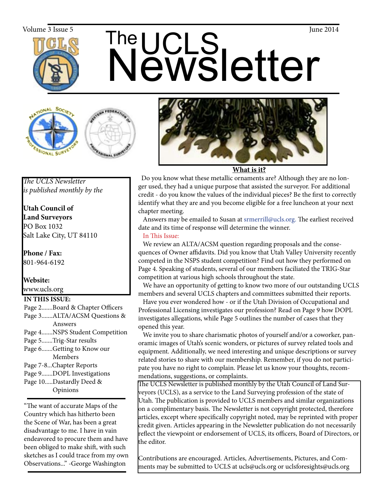

# The UCLS<br>Newsletter Volume 3 Issue 5  $\blacksquare$   $\blacksquare$   $\blacksquare$   $\blacksquare$   $\blacksquare$   $\blacksquare$   $\blacksquare$   $\blacksquare$   $\blacksquare$   $\blacksquare$   $\blacksquare$   $\blacksquare$   $\blacksquare$   $\blacksquare$   $\blacksquare$   $\blacksquare$   $\blacksquare$   $\blacksquare$   $\blacksquare$   $\blacksquare$   $\blacksquare$   $\blacksquare$   $\blacksquare$   $\blacksquare$   $\blacksquare$   $\blacksquare$   $\blacksquare$   $\blacksquare$   $\blacksquare$







**What is it?**

 Do you know what these metallic ornaments are? Although they are no longer used, they had a unique purpose that assisted the surveyor. For additional credit - do you know the values of the individual pieces? Be the first to correctly identify what they are and you become eligible for a free luncheon at your next chapter meeting.

 Answers may be emailed to Susan at srmerrill@ucls.org. The earliest received date and its time of response will determine the winner.

## In This Issue:

 We review an ALTA/ACSM question regarding proposals and the consequences of Owner affidavits. Did you know that Utah Valley University recently competed in the NSPS student competition? Find out how they performed on Page 4. Speaking of students, several of our members faciliated the TRIG-Star competition at various high schools throughout the state.

 We have an opportunity of getting to know two more of our outstanding UCLS members and several UCLS chapters and committees submitted their reports.

 Have you ever wondered how - or if the Utah Division of Occupational and Professional Licensing investigates our profession? Read on Page 9 how DOPL investigates allegations, while Page 5 outlines the number of cases that they opened this year.

 We invite you to share charismatic photos of yourself and/or a coworker, panoramic images of Utah's scenic wonders, or pictures of survey related tools and equipment. Additionally, we need interesting and unique descriptions or survey related stories to share with our membership. Remember, if you do not participate you have no right to complain. Please let us know your thoughts, recommendations, suggestions, or complaints.

The UCLS Newsletter is published monthly by the Utah Council of Land Surveyors (UCLS), as a service to the Land Surveying profession of the state of Utah. The publication is provided to UCLS members and similar organizations on a complimentary basis. The Newsletter is not copyright protected, therefore articles, except where specifically copyright noted, may be reprinted with proper credit given. Articles appearing in the Newsletter publication do not necessarily reflect the viewpoint or endorsement of UCLS, its officers, Board of Directors, or the editor.

Contributions are encouraged. Articles, Advertisements, Pictures, and Comments may be submitted to UCLS at ucls@ucls.org or uclsforesights@ucls.org

*The UCLS Newsletter is published monthly by the*

**Utah Council of Land Surveyors** PO Box 1032 Salt Lake City, UT 84110

**Phone / Fax:**  801-964-6192

# **Website:**

## www.ucls.org

### **IN THIS ISSUE:**

- Page 2.......Board & Chapter Officers Page 3.......ALTA/ACSM Questions & Answers Page 4.......NSPS Student Competition
- Page 5.......Trig-Star results
- Page 6.......Getting to Know our Members
- Page 7-8...Chapter Reports
- Page 9.......DOPL Investigations
- Page 10.....Dastardly Deed & Opinions

"The want of accurate Maps of the Country which has hitherto been the Scene of War, has been a great disadvantage to me. I have in vain endeavored to procure them and have been obliged to make shift, with such sketches as I could trace from my own Observations..." -George Washington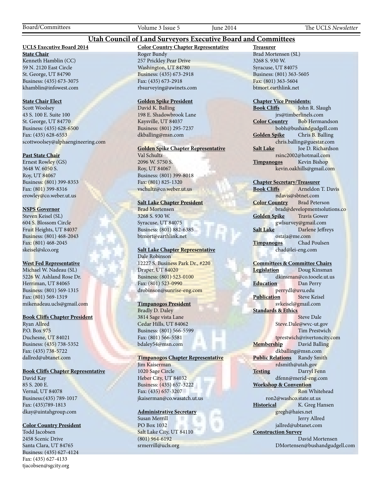Board/Committees Volume 3 Issue 5 June 2014 The UCLS *Newsletter*

#### **Utah Council of Land Surveyors Executive Board and Committees**

#### **UCLS Executive Board 2014**

**State Chair** Kenneth Hamblin (CC) 59 N. 2120 East Circle St. George, UT 84790 Business: (435) 673-3075 khamblin@infowest.com

#### **State Chair Elect**

Scott Woolsey 43 S. 100 E. Suite 100 St. George, UT 84770 Business: (435) 628-6500 Fax: (435) 628-6553 scottwoolsey@alphaengineering.com

#### **Past State Chair**

Ernest Rowley (GS) 3648 W. 6050 S. Roy, UT 84067 Business: (801) 399-8353 Fax: (801) 399-8316 erowley@co.weber.ut.us

#### **NSPS Governor**

Steven Keisel (SL) 604 S. Blossom Circle Fruit Heights, UT 84037 Business: (801) 468-2043 Fax: (801) 468-2045 skeisel@slco.org

#### **West Fed Representative**

Michael W. Nadeau (SL) 5226 W. Ashland Rose Dr. Herriman, UT 84065 Business: (801) 569-1315 Fax: (801) 569-1319 mikenadeau.ucls@gmail.com

#### **Book Cliffs Chapter President**

Ryan Allred P.O. Box 975 Duchesne, UT 84021 Business: (435) 738-5352 Fax: (435) 738-5722 dallred@ubtanet.com

#### **Book Cliffs Chapter Representative**

David Kay 85 S. 200 E. Vernal, UT 84078 Business:(435) 789-1017 Fax: (435)789-1813 dkay@uintahgroup.com

#### **Color Country President**

Todd Jacobsen 2458 Scenic Drive Santa Clara, UT 84765 Business: (435) 627-4124 Fax: (435) 627-4133 tjacobsen@sgcity.org

#### **Color Country Chapter Representative** Roger Bundy 257 Prickley Pear Drive Washington, UT 84780

Business: (435) 673-2918 Fax: (435) 673-2918 rbsurveying@awinets.com

#### **Golden Spike President**

David K. Balling 198 E. Shadowbrook Lane Kaysville, UT 84037 Business: (801) 295-7237 dkballing@msn.com

#### **Golden Spike Chapter Representative**

Val Schultz 2096 W. 5750 S. Roy, UT 84067 Business: (801) 399-8018 Fax: (801) 825-1320 vschultz@co.weber.ut.us

#### **Salt Lake Chapter President**

Brad Mortensen 3268 S. 930 W. Syracuse, UT 84075 Business: (801) 882-6385 btmort@earthlink.net

#### **Salt Lake Chapter Representative** Dale Robinson

12227 S. Business Park Dr., #220 Draper, UT 84020 Business: (801) 523-0100 Fax: (801) 523-0990 drobinson@sunrise-eng.com

#### **Timpanogos President**

Bradly D. Daley 3814 Sage vista Lane Cedar Hills, UT 84062 Business: (801) 566-5599 Fax: (801) 566-5581 bdaley54@msn.com

#### **Timpanogos Chapter Representative**

Jim Kaiserman 1020 Sage Circle Heber City, UT 84032 Business: (435) 657-3222 Fax: (435) 657-3207 jkaiserman@co.wasatch.ut.us

#### **Administrative Secretary**

Susan Merrill PO Box 1032 Salt Lake City, UT 84110 (801) 964-6192 srmerrill@ucls.org

**Treasurer** Brad Mortensen (SL) 3268 S. 930 W. Syracuse, UT 84075 Business: (801) 363-5605 Fax: (801) 363-5604 btmort.earthlink.net

# **Chapter Vice Presidents:**

John R. Slaugh jrs@timberlinels.com **Color Country** Bob Hermandson bobh@bushandgudgell.com **Golden Spike** Chris B. Balling chris.balling@guestar.com **Salt Lake** Joe D. Richardson rsinc2002@hotmail.com **Timpanogos** Kevin Bishop kevin.oakhills@gmail.com

#### **Chapter Secretary/Treasurer**

**Book Cliffs** Arneldon T. Davis ndavis@sbtnet.com **Color Country** Brad Peterson brad@developmentsolutions.co **Golden Spike** Travis Gower gwlsurvey@gmail.com **Salt Lake** Darlene Jeffreys ostaja@me.com **Timpanogos** Chad Poulsen chad@lei-eng.com

#### **Committees & Committee Chairs**

**Legislation** Doug Kinsman dkinsman@co.tooele.ut.us **Education** Dan Perry perrydl@uvu.edu **Publication** Steve Keisel svkeisel@gmail.com **Standards & Ethics** Steve Dale Steve.Dale@wvc-ut.gov Tim Prestwich tprestwich@rivertoncity.com

**Membership** David Balling dkballing@msn.com **Public Relations** Randy Smith rdsmith@utah.gov **Testing** Darryl Fenn

dfenn@merid-eng.com **Workshop & Convention** Ron Whitehead

 ron2@washco.state.ut.us **Historical** K. Greg Hansen gregh@haies.net Jerry Allred

jallred@ubtanet.com **Construction Survey**

> David Mortensen DMortensen@bushandgudgell.com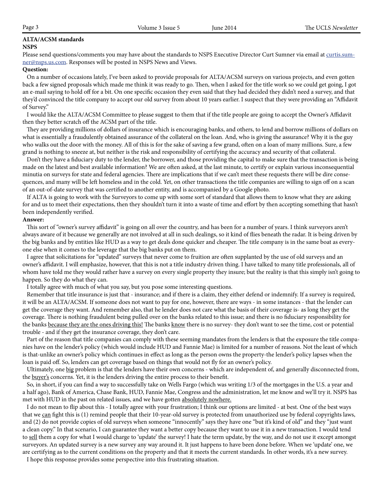#### **ALTA/ACSM standards NSPS**

Please send questions/comments you may have about the standards to NSPS Executive Director Curt Sumner via email at curtis.sumner@nsps.us.com. Responses will be posted in NSPS News and Views.

#### **Question:**

 On a number of occasions lately, I've been asked to provide proposals for ALTA/ACSM surveys on various projects, and even gotten back a few signed proposals which made me think it was ready to go. Then, when I asked for the title work so we could get going, I got an e-mail saying to hold off for a bit. On one specific occasion they even said that they had decided they didn't need a survey, and that they'd convinced the title company to accept our old survey from about 10 years earlier. I suspect that they were providing an "Affidavit of Survey."

 I would like the ALTA/ACSM Committee to please suggest to them that if the title people are going to accept the Owner's Affidavit then they better scratch off the ACSM part of the title.

 They are providing millions of dollars of insurance which is encouraging banks, and others, to lend and borrow millions of dollars on what is essentially a fraudulently obtained assurance of the collateral on the loan. And, who is giving the assurance? Why it is the guy who walks out the door with the money. All of this is for the sake of saving a few grand, often on a loan of many millions. Sure, a few grand is nothing to sneeze at, but neither is the risk and responsibility of certifying the accuracy and security of that collateral.

 Don't they have a fiduciary duty to the lender, the borrower, and those providing the capital to make sure that the transaction is being made on the latest and best available information? We are often asked, at the last minute, to certify or explain various inconsequential minutia on surveys for state and federal agencies. There are implications that if we can't meet these requests there will be dire consequences, and many will be left homeless and in the cold. Yet, on other transactions the title companies are willing to sign off on a scan of an out-of-date survey that was certified to another entity, and is accompanied by a Google photo.

 If ALTA is going to work with the Surveyors to come up with some sort of standard that allows them to know what they are asking for and us to meet their expectations, then they shouldn't turn it into a waste of time and effort by then accepting something that hasn't been independently verified.

#### **Answer:**

 This sort of "owner's survey affidavit" is going on all over the country, and has been for a number of years. I think surveyors aren't always aware of it because we generally are not involved at all in such dealings, so it kind of flies beneath the radar. It is being driven by the big banks and by entities like HUD as a way to get deals done quicker and cheaper. The title company is in the same boat as everyone else when it comes to the leverage that the big banks put on them.

 I agree that solicitations for "updated" surveys that never come to fruition are often supplanted by the use of old surveys and an owner's affidavit. I will emphasize, however, that this is not a title industry driven thing. I have talked to many title professionals, all of whom have told me they would rather have a survey on every single property they insure; but the reality is that this simply isn't going to happen. So they do what they can.

I totally agree with much of what you say, but you pose some interesting questions.

 Remember that title insurance is just that - insurance; and if there is a claim, they either defend or indemnify. If a survey is required, it will be an ALTA/ACSM. If someone does not want to pay for one, however, there are ways - in some instances - that the lender can get the coverage they want. And remember also, that he lender does not care what the basis of their coverage is- as long they get the coverage. There is nothing fraudulent being pulled over on the banks related to this issue; and there is no fiduciary responsibility for the banks because they are the ones driving this! The banks know there is no survey- they don't want to see the time, cost or potential trouble - and if they get the insurance coverage, they don't care.

 Part of the reason that title companies can comply with these seeming mandates from the lenders is that the exposure the title companies have on the lender's policy (which would include HUD and Fannie Mae) is limited for a number of reasons. Not the least of which is that-unlike an owner's policy which continues in effect as long as the person owns the property-the lender's policy lapses when the loan is paid off. So, lenders can get coverage based on things that would not fly for an owner's policy.

Ultimately, one big problem is that the lenders have their own concerns - which are independent of, and generally disconnected from, the buyer's concerns. Yet, it is the lenders driving the entire process to their benefit.

 So, in short, if you can find a way to successfully take on Wells Fargo (which was writing 1/3 of the mortgages in the U.S. a year and a half ago), Bank of America, Chase Bank, HUD, Fannie Mae, Congress and the administration, let me know and we'll try it. NSPS has met with HUD in the past on related issues, and we have gotten absolutely nowhere.

 I do not mean to flip about this - I totally agree with your frustration; I think our options are limited - at best. One of the best ways that we can fight this is (1) remind people that their 10-year-old survey is protected from unauthorized use by federal copyrights laws, and (2) do not provide copies of old surveys when someone "innocently" says they have one "but it's kind of old" and they "just want a clean copy." In that scenario, I can guarantee they want a better copy because they want to use it in a new transaction. I would tend to sell them a copy for what I would charge to 'update' the survey! I hate the term update, by the way, and do not use it except amongst surveyors. An updated survey is a new survey any way around it. It just happens to have been done before. When we 'update' one, we are certifying as to the current conditions on the property and that it meets the current standards. In other words, it's a new survey.

I hope this response provides some perspective into this frustrating situation.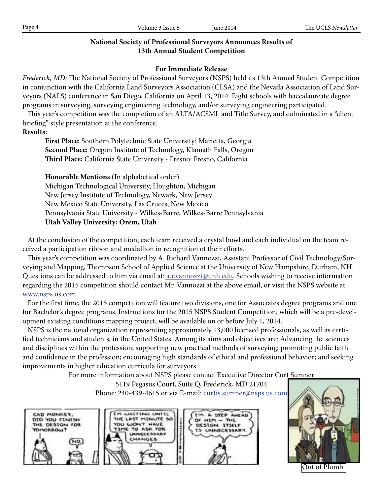| Page 4 | Volume 3 Issue 5 | <b>Iune 2014</b> | The UCLS Newsletter |
|--------|------------------|------------------|---------------------|

## **National Society of Professional Surveyors Announces Results of 13th Annual Student Competition**

## **For Immediate Release**

*Frederick, MD:* The National Society of Professional Surveyors (NSPS) held its 13th Annual Student Competition in conjunction with the California Land Surveyors Association (CLSA) and the Nevada Association of Land Surveyors (NALS) conference in San Diego, California on April 13, 2014. Eight schools with baccalaureate degree programs in surveying, surveying engineering technology, and/or surveying engineering participated.

 This year's competition was the completion of an ALTA/ACSML and Title Survey, and culminated in a "client briefing" style presentation at the conference.

## **Results:**

**First Place:** Southern Polytechnic State University: Marietta, Georgia **Second Place:** Oregon Institute of Technology, Klamath Falls, Oregon **Third Place:** California State University - Fresno: Fresno, California

**Honorable Mentions** (In alphabetical order) Michigan Technological University, Houghton, Michigan New Jersey Institute of Technology, Newark, New Jersey New Mexico State University, Las Cruces, New Mexico Pennsylvania State University - Wilkes-Barre, Wilkes-Barre Pennsylvania **Utah Valley University: Orem, Utah**

 At the conclusion of the competition, each team received a crystal bowl and each individual on the team received a participation ribbon and medallion in recognition of their efforts.

 This year's competition was coordinated by A. Richard Vannozzi, Assistant Professor of Civil Technology/Surveying and Mapping, Thompson School of Applied Science at the University of New Hampshire, Durham, NH. Questions can be addressed to him via email at: <u>a.r.vannozzi@unh.edu</u>. Schools wishing to receive information regarding the 2015 competition should contact Mr. Vannozzi at the above email, or visit the NSPS website at www.nsps.us.com.

For the first time, the 2015 competition will feature two divisions, one for Associates degree programs and one for Bachelor's degree programs. Instructions for the 2015 NSPS Student Competition, which will be a pre-development existing conditions mapping project, will be available on or before July 1, 2014.

 NSPS is the national organization representing approximately 13,000 licensed professionals, as well as certified technicians and students, in the United States. Among its aims and objectives are: Advancing the sciences and disciplines within the profession; supporting new practical methods of surveying; promoting public faith and confidence in the profession; encouraging high standards of ethical and professional behavior; and seeking improvements in higher education curricula for surveyors.

For more information about NSPS please contact Executive Director Curt Sumner

5119 Pegasus Court, Suite Q, Frederick, MD 21704 Phone: 240-439-4615 or via E-mail: curtis.sumner@nsps.us.com





Out of Plumb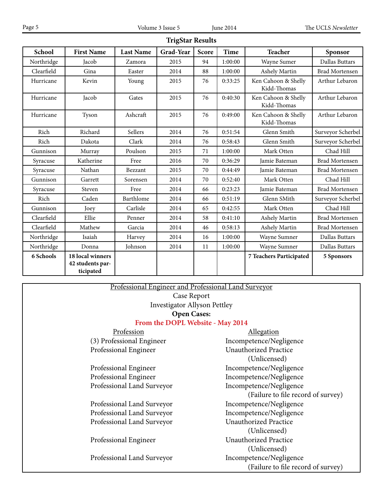**TrigStar Results**

| School     | <b>First Name</b>                                 | <b>Last Name</b> | Grad-Year | Score | <b>Time</b> | <b>Teacher</b>                     | Sponsor               |
|------------|---------------------------------------------------|------------------|-----------|-------|-------------|------------------------------------|-----------------------|
| Northridge | Jacob                                             | Zamora           | 2015      | 94    | 1:00:00     | Wayne Sumer                        | Dallas Buttars        |
| Clearfield | Gina                                              | Easter           | 2014      | 88    | 1:00:00     | Ashely Martin                      | <b>Brad Mortensen</b> |
| Hurricane  | Kevin                                             | Young            | 2015      | 76    | 0:33:25     | Ken Cahoon & Shelly<br>Kidd-Thomas | Arthur Lebaron        |
| Hurricane  | Jacob                                             | Gates            | 2015      | 76    | 0:40:30     | Ken Cahoon & Shelly<br>Kidd-Thomas | Arthur Lebaron        |
| Hurricane  | Tyson                                             | Ashcraft         | 2015      | 76    | 0:49:00     | Ken Cahoon & Shelly<br>Kidd-Thomas | Arthur Lebaron        |
| Rich       | Richard                                           | Sellers          | 2014      | 76    | 0:51:54     | Glenn Smith                        | Surveyor Scherbel     |
| Rich       | Dakota                                            | Clark            | 2014      | 76    | 0:58:43     | Glenn Smith                        | Surveyor Scherbel     |
| Gunnison   | Murray                                            | Poulson          | 2015      | 71    | 1:00:00     | Mark Otten                         | Chad Hill             |
| Syracuse   | Katherine                                         | Free             | 2016      | 70    | 0:36:29     | Jamie Bateman                      | <b>Brad Mortensen</b> |
| Syracuse   | Nathan                                            | Bezzant          | 2015      | 70    | 0:44:49     | Jamie Bateman                      | <b>Brad Mortensen</b> |
| Gunnison   | Garrett                                           | Sorensen         | 2014      | 70    | 0:52:40     | Mark Otten                         | Chad Hill             |
| Syracuse   | Steven                                            | Free             | 2014      | 66    | 0:23:23     | Jamie Bateman                      | <b>Brad Mortensen</b> |
| Rich       | Caden                                             | Barthlome        | 2014      | 66    | 0:51:19     | Glenn SMith                        | Surveyor Scherbel     |
| Gunnison   | Joey                                              | Carlisle         | 2014      | 65    | 0:42:55     | Mark Otten                         | Chad Hill             |
| Clearfield | Ellie                                             | Penner           | 2014      | 58    | 0:41:10     | Ashely Martin                      | <b>Brad Mortensen</b> |
| Clearfield | Mathew                                            | Garcia           | 2014      | 46    | 0:58:13     | Ashely Martin                      | <b>Brad Mortensen</b> |
| Northridge | Isaiah                                            | Harvey           | 2014      | 16    | 1:00:00     | Wayne Sumner                       | Dallas Buttars        |
| Northridge | Donna                                             | Johnson          | 2014      | 11    | 1:00:00     | Wayne Sumner                       | Dallas Buttars        |
| 6 Schools  | 18 local winners<br>42 students par-<br>ticipated |                  |           |       |             | 7 Teachers Participated            | 5 Sponsors            |

Professional Engineer and Professional Land Surveyor Case Report Investigator Allyson Pettley **Open Cases:**

## **From the DOPL Website - May 2014**

Professional Engineer Incompetence/Negligence Professional Engineer Incompetence/Negligence Professional Land Surveyor Incompetence/Negligence

Professional Land Surveyor **Incompetence/Negligence** Professional Land Surveyor Incompetence/Negligence Professional Land Surveyor Unauthorized Practice

Professional Land Surveyor Incompetence/Negligence

Profession Allegation (3) Professional Engineer Incompetence/Negligence Professional Engineer Unauthorized Practice (Unlicensed) (Failure to file record of survey) (Unlicensed) Professional Engineer Unauthorized Practice (Unlicensed) (Failure to file record of survey)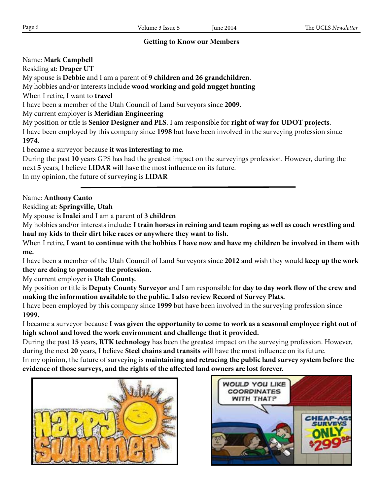## **Getting to Know our Members**

Name: **Mark Campbell**

Residing at: **Draper UT**

My spouse is **Debbie** and I am a parent of **9 children and 26 grandchildren**.

My hobbies and/or interests include **wood working and gold nugget hunting**

When I retire, I want to **travel**

I have been a member of the Utah Council of Land Surveyors since **2009**.

My current employer is **Meridian Engineering**

My position or title is **Senior Designer and PLS**. I am responsible for **right of way for UDOT projects**.

I have been employed by this company since **1998** but have been involved in the surveying profession since **1974**.

I became a surveyor because **it was interesting to me**.

During the past **10** years GPS has had the greatest impact on the surveyings profession. However, during the next **5** years, I believe **LIDAR** will have the most influence on its future.

In my opinion, the future of surveying is **LIDAR**

Name: **Anthony Canto**

Residing at: **Springville, Utah**

My spouse is **Inalei** and I am a parent of **3 children**

My hobbies and/or interests include: **I train horses in reining and team roping as well as coach wrestling and haul my kids to their dirt bike races or anywhere they want to fish.**

When I retire, **I want to continue with the hobbies I have now and have my children be involved in them with me.**

I have been a member of the Utah Council of Land Surveyors since **2012** and wish they would **keep up the work they are doing to promote the profession.**

My current employer is **Utah County.**

My position or title is **Deputy County Surveyor** and I am responsible for **day to day work flow of the crew and making the information available to the public. I also review Record of Survey Plats.**

I have been employed by this company since **1999** but have been involved in the surveying profession since **1999.**

I became a surveyor because **I was given the opportunity to come to work as a seasonal employee right out of high school and loved the work environment and challenge that it provided.**

During the past **15** years, **RTK technology** has been the greatest impact on the surveying profession. However, during the next **20** years, I believe **Steel chains and transits** will have the most influence on its future.

In my opinion, the future of surveying is **maintaining and retracing the public land survey system before the evidence of those surveys, and the rights of the affected land owners are lost forever.**



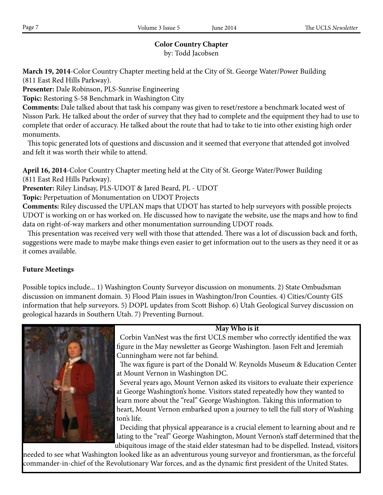## **Color Country Chapter**

by: Todd Jacobsen

**March 19, 2014**-Color Country Chapter meeting held at the City of St. George Water/Power Building (811 East Red Hills Parkway).

**Presenter:** Dale Robinson, PLS-Sunrise Engineering

**Topic:** Restoring S-58 Benchmark in Washington City

**Comments:** Dale talked about that task his company was given to reset/restore a benchmark located west of Nisson Park. He talked about the order of survey that they had to complete and the equipment they had to use to complete that order of accuracy. He talked about the route that had to take to tie into other existing high order monuments.

 This topic generated lots of questions and discussion and it seemed that everyone that attended got involved and felt it was worth their while to attend.

**April 16, 2014**-Color Country Chapter meeting held at the City of St. George Water/Power Building (811 East Red Hills Parkway).

**Presenter:** Riley Lindsay, PLS-UDOT & Jared Beard, PL - UDOT

**Topic:** Perpetuation of Monumentation on UDOT Projects

**Comments:** Riley discussed the UPLAN maps that UDOT has started to help surveyors with possible projects UDOT is working on or has worked on. He discussed how to navigate the website, use the maps and how to find data on right-of-way markers and other monumentation surrounding UDOT roads.

 This presentation was received very well with those that attended. There was a lot of discussion back and forth, suggestions were made to maybe make things even easier to get information out to the users as they need it or as it comes available.

## **Future Meetings**

Possible topics include... 1) Washington County Surveyor discussion on monuments. 2) State Ombudsman discussion on immanent domain. 3) Flood Plain issues in Washington/Iron Counties. 4) Cities/County GIS information that help surveyors. 5) DOPL updates from Scott Bishop. 6) Utah Geological Survey discussion on geological hazards in Southern Utah. 7) Preventing Burnout.



**May Who is it**

 Corbin VanNest was the first UCLS member who correctly identified the wax figure in the May newsletter as George Washington. Jason Felt and Jeremiah Cunningham were not far behind.

 The wax figure is part of the Donald W. Reynolds Museum & Education Center at Mount Vernon in Washington DC.

 Several years ago, Mount Vernon asked its visitors to evaluate their experience at George Washington's home. Visitors stated repeatedly how they wanted to learn more about the "real" George Washington. Taking this information to heart, Mount Vernon embarked upon a journey to tell the full story of Washing ton's life.

 Deciding that physical appearance is a crucial element to learning about and re lating to the "real" George Washington, Mount Vernon's staff determined that the ubiquitous image of the staid elder statesman had to be dispelled. Instead, visitors

needed to see what Washington looked like as an adventurous young surveyor and frontiersman, as the forceful commander-in-chief of the Revolutionary War forces, and as the dynamic first president of the United States.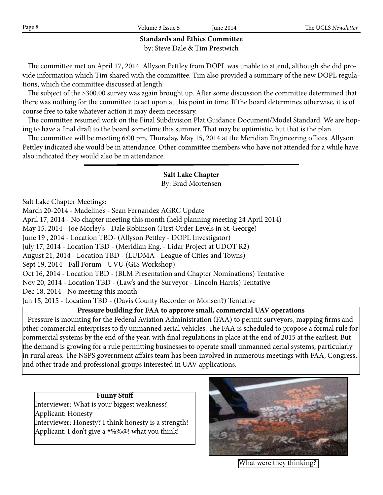## **Standards and Ethics Committee** by: Steve Dale & Tim Prestwich

 The committee met on April 17, 2014. Allyson Pettley from DOPL was unable to attend, although she did provide information which Tim shared with the committee. Tim also provided a summary of the new DOPL regulations, which the committee discussed at length.

 The subject of the \$300.00 survey was again brought up. After some discussion the committee determined that there was nothing for the committee to act upon at this point in time. If the board determines otherwise, it is of course free to take whatever action it may deem necessary.

 The committee resumed work on the Final Subdivision Plat Guidance Document/Model Standard. We are hoping to have a final draft to the board sometime this summer. That may be optimistic, but that is the plan.

 The committee will be meeting 6:00 pm, Thursday, May 15, 2014 at the Meridian Engineering offices. Allyson Pettley indicated she would be in attendance. Other committee members who have not attended for a while have also indicated they would also be in attendance.

## **Salt Lake Chapter**

## By: Brad Mortensen

Salt Lake Chapter Meetings:

March 20-2014 - Madeline's - Sean Fernandez AGRC Update

April 17, 2014 - No chapter meeting this month (held planning meeting 24 April 2014)

May 15, 2014 - Joe Morley's - Dale Robinson (First Order Levels in St. George)

June 19 , 2014 - Location TBD- (Allyson Pettley - DOPL Investigator)

July 17, 2014 - Location TBD - (Meridian Eng. - Lidar Project at UDOT R2)

August 21, 2014 - Location TBD - (LUDMA - League of Cities and Towns)

Sept 19, 2014 - Fall Forum - UVU (GIS Workshop)

Oct 16, 2014 - Location TBD - (BLM Presentation and Chapter Nominations) Tentative

Nov 20, 2014 - Location TBD - (Law's and the Surveyor - Lincoln Harris) Tentative

Dec 18, 2014 - No meeting this month

Jan 15, 2015 - Location TBD - (Davis County Recorder or Monsen?) Tentative

## **Pressure building for FAA to approve small, commercial UAV operations**

 Pressure is mounting for the Federal Aviation Administration (FAA) to permit surveyors, mapping firms and other commercial enterprises to fly unmanned aerial vehicles. The FAA is scheduled to propose a formal rule for commercial systems by the end of the year, with final regulations in place at the end of 2015 at the earliest. But the demand is growing for a rule permitting businesses to operate small unmanned aerial systems, particularly in rural areas. The NSPS government affairs team has been involved in numerous meetings with FAA, Congress, and other trade and professional groups interested in UAV applications.

**Funny Stuff** Interviewer: What is your biggest weakness? Applicant: Honesty Interviewer: Honesty? I think honesty is a strength! Applicant: I don't give a #%%@! what you think!



What were they thinking?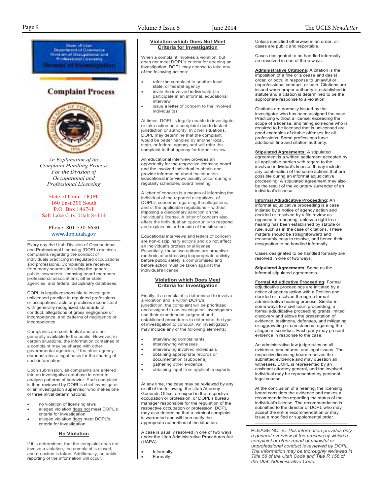Page 9 Volume 3 Issue 5 June 2014 The UCLS *Newsletter*State of Utah Department of Commerce<br>Nvision of Occupational and<br>Professional Licensing Divis ureau of Investigation **Complaint Process** *An Explanation of the Complaint Handling Process For the Division of Occupational and Professional Licensing* State of Utah - DOPL 160 East 300 South P.O. Box 146741 Salt Lake City, Utah 84114 Phone: 801-530-6630 www.doplutah.gov Every day the Utah Division of Occupational and Professional Licensing (DOPL) receives complaints regarding the conduct of individuals practicing in regulated occupations and professions. Complaints are received from many sources including the general public, coworkers, licensing board members, professional associations, other state agencies, and federal disciplinary databases.

DOPL is legally responsible to investigate unlicensed practice in regulated professions or occupations, acts or practices inconsistent with generally recognized standards of conduct, allegations of gross negligence or incompetence, and patterns of negligence or incompetence.

Complaints are confidential and are not generally available to the public. However, in certain situations, the information contained in a complaint may be shared with other governmental agencies, if the other agency demonstrates a legal basis for the sharing of such information.

Upon submission, all complaints are entered into an investigative database in order to analyze patterns of behavior. Each complaint is then reviewed by DOPL's chief investigator or an investigation supervisor who makes one of three initial determinations:

- no violation of licensing laws
- alleged violation does not meet DOPL's criteria for investigation
- alleged violation does meet DOPL's criteria for investigation

#### **No Violation**

If it is determined, that the complaint does not involve a violation, the complaint is closed, and no action is taken. Additionally, no public reporting of the information will occur.

When a complaint involves a violation, but does not meet DOPL's criteria for opening an investigation, DOPL may choose to take any of the following actions:

- refer the complaint to another local, state, or federal agency
- invite the involved individual(s) to participate in an informal, educational interview
- issue a letter of concern to the involved individual(s)

At times, DOPL is legally unable to investigate or take action on a complaint due to lack of jurisdiction or authority. In other situations, DOPL may determine that the complaint would be better handled by another local, state, or federal agency and will refer the complaint to that agency for further review.

An educational interview provides an opportunity for the respective licensing board and the involved individual to obtain and provide information about the situation. Educational interviews usually occur during a regularly scheduled board meeting.

A letter of concern is a means of informing the individual of the reported allegations, of DOPL's concerns regarding the allegations, and of the applicable regulations – without imposing a disciplinary sanction on the Individual's license. A letter of concern also offers the individual an opportunity to respond and explain his or her side of the situation.

Educational interviews and letters of concern are non-disciplinary actions and do not affect an individual's professional license. Essentially, these two options are proactive methods of addressing inappropriate activity before public safety is compromised and before action must be taken against the individual's license.

#### **Violation which Does Meet Criteria for Investigation**

Finally, if a complaint is determined to involve a violation and is within DOPL's jurisdiction, the complaint will be prioritized and assigned to an investigator. Investigators use their experienced judgment and established procedures to determine the type of investigation to conduct. An investigation may include any of the following elements:

- interviewing complainants
- interviewing witnesses
- interviewing involved individuals • obtaining appropriate records or
- documentation (subpoena)
- gathering other evidence
- obtaining input from applicable experts

At any time, the case may be reviewed by any or all of the following: the Utah Attorney Generals Office, an expert in the respective occupation or profession, or DOPL's bureau manager responsible for the regulation of the respective occupation or profession. DOPL may also determine that a criminal complaint is warranted and will then notify the appropriate authorities of the situation.

A case is usually resolved in one of two ways under the Utah Administrative Procedures Act (UAPA):

- Informally
- **Formally**

#### Unless specified otherwise in an order, all cases are public and reportable.

Cases designated to be handled informally are resolved in one of three ways:

**Administrative Citations**: A citation is the imposition of a fine or a cease and desist order, or both, in response to unlawful or unprofessional conduct, or both. Citations are issued when proper authority is established in statute and a citation is determined to be the appropriate response to a violation.

Citations are normally issued by the investigator who has been assigned the case. Practicing without a license, exceeding the scope of a license, and hiring someone who is required to be licensed that is unlicensed are good examples of citable offenses for all professions. Some professions have additional fine and citation authority.

**Stipulated Agreements:** A stipulated agreement is a written settlement accepted by all applicable parties with regard to the involved individual's license. It may include any combination of the same actions that are possible during an informal adjudicative proceeding. A stipulated agreement may also be the result of the voluntary surrender of an individual's license.

**Informal Adjudicative Proceeding**: An informal adjudicative proceeding is a case initiated by a notice of agency action and decided or resolved by a file review as opposed to a hearing, unless a right to a hearing has been established by statute or rule, such as in the case of citations. These matters should be straightforward and reasonably easy to resolve, and hence their designation to be handled informally.

Cases designated to be handled formally are resolved in one of two ways:

**Stipulated Agreements**: Same as the informal stipulated agreements.

**Formal Adjudicative Proceeding**: Formal adjudicative proceedings are initiated by a notice of agency action with a Petition and decided or resolved through a formal administrative hearing process. Similar in some ways to a civil court proceeding, a formal adjudicative proceeding grants limited discovery and allows the presentation of evidence, testimony, defenses, and mitigating or aggravating circumstances regarding the alleged misconduct. Each party may present evidence in response to the case.

An administrative law judge rules on all evidence, procedures, and legal issues. The respective licensing board receives the submitted evidence and may question all witnesses. DOPL is represented by an assistant attorney general, and the involved individual may be represented by personal legal counsel.

At the conclusion of a hearing, the licensing board considers the evidence and makes a recommendation regarding the status of the individual's license. The recommendation is submitted to the director of DOPL who may accept the entire recommendation or may issue a modified or supplemental order.

PLEASE NOTE: *This information provides only a general overview of the process by which a complaint or other report of unlawful or unprofessional conduct is reviewed by DOPL. The Information may be thoroughly reviewed in Title 58 of the Utah Code and Title R 156 of the Utah Administrative Code.*